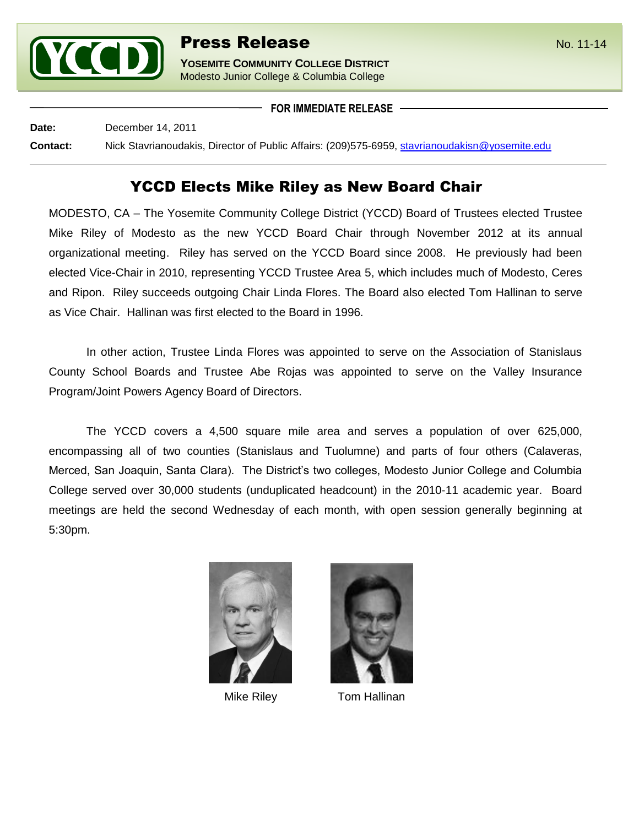

**YOSEMITE COMMUNITY COLLEGE DISTRICT** Modesto Junior College & Columbia College

**FOR IMMEDIATE RELEASE**

**Date:** December 14, 2011 **Contact:** Nick Stavrianoudakis, Director of Public Affairs: (209)575-6959, [stavrianoudakisn@yosemite.edu](mailto:stavrianoudakisn@yosemite.edu)

## YCCD Elects Mike Riley as New Board Chair

MODESTO, CA – The Yosemite Community College District (YCCD) Board of Trustees elected Trustee Mike Riley of Modesto as the new YCCD Board Chair through November 2012 at its annual organizational meeting. Riley has served on the YCCD Board since 2008. He previously had been elected Vice-Chair in 2010, representing YCCD Trustee Area 5, which includes much of Modesto, Ceres and Ripon. Riley succeeds outgoing Chair Linda Flores. The Board also elected Tom Hallinan to serve as Vice Chair. Hallinan was first elected to the Board in 1996.

In other action, Trustee Linda Flores was appointed to serve on the Association of Stanislaus County School Boards and Trustee Abe Rojas was appointed to serve on the Valley Insurance Program/Joint Powers Agency Board of Directors.

The YCCD covers a 4,500 square mile area and serves a population of over 625,000, encompassing all of two counties (Stanislaus and Tuolumne) and parts of four others (Calaveras, Merced, San Joaquin, Santa Clara). The District's two colleges, Modesto Junior College and Columbia College served over 30,000 students (unduplicated headcount) in the 2010-11 academic year. Board meetings are held the second Wednesday of each month, with open session generally beginning at 5:30pm.





Mike Riley **Tom Hallinan**